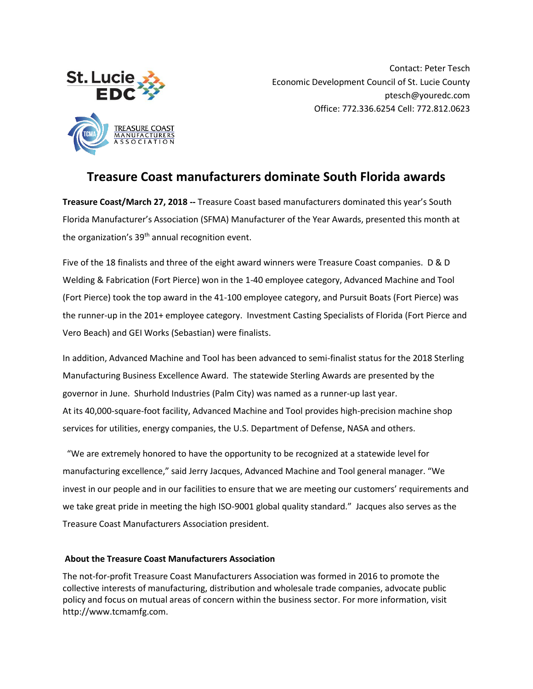

Contact: Peter Tesch Economic Development Council of St. Lucie County ptesch@youredc.com Office: 772.336.6254 Cell: 772.812.0623

## **Treasure Coast manufacturers dominate South Florida awards**

**Treasure Coast/March 27, 2018 --** Treasure Coast based manufacturers dominated this year's South Florida Manufacturer's Association (SFMA) Manufacturer of the Year Awards, presented this month at the organization's 39<sup>th</sup> annual recognition event.

Five of the 18 finalists and three of the eight award winners were Treasure Coast companies. D & D Welding & Fabrication (Fort Pierce) won in the 1-40 employee category, Advanced Machine and Tool (Fort Pierce) took the top award in the 41-100 employee category, and Pursuit Boats (Fort Pierce) was the runner-up in the 201+ employee category. Investment Casting Specialists of Florida (Fort Pierce and Vero Beach) and GEI Works (Sebastian) were finalists.

In addition, Advanced Machine and Tool has been advanced to semi-finalist status for the 2018 Sterling Manufacturing Business Excellence Award. The statewide Sterling Awards are presented by the governor in June. Shurhold Industries (Palm City) was named as a runner-up last year. At its 40,000-square-foot facility, Advanced Machine and Tool provides high-precision machine shop services for utilities, energy companies, the U.S. Department of Defense, NASA and others.

 "We are extremely honored to have the opportunity to be recognized at a statewide level for manufacturing excellence," said Jerry Jacques, Advanced Machine and Tool general manager. "We invest in our people and in our facilities to ensure that we are meeting our customers' requirements and we take great pride in meeting the high ISO-9001 global quality standard." Jacques also serves as the Treasure Coast Manufacturers Association president.

## **About the Treasure Coast Manufacturers Association**

The not-for-profit Treasure Coast Manufacturers Association was formed in 2016 to promote the collective interests of manufacturing, distribution and wholesale trade companies, advocate public policy and focus on mutual areas of concern within the business sector. For more information, visit http://www.tcmamfg.com.